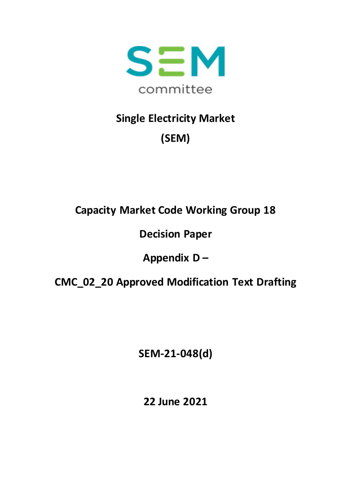

# **Single Electricity Market (SEM)**

### **Capacity Market Code Working Group 18**

### **Decision Paper**

## **Appendix D –**

#### **CMC\_02\_20 Approved Modification Text Drafting**

**SEM-21-048(d)**

**22 June 2021**